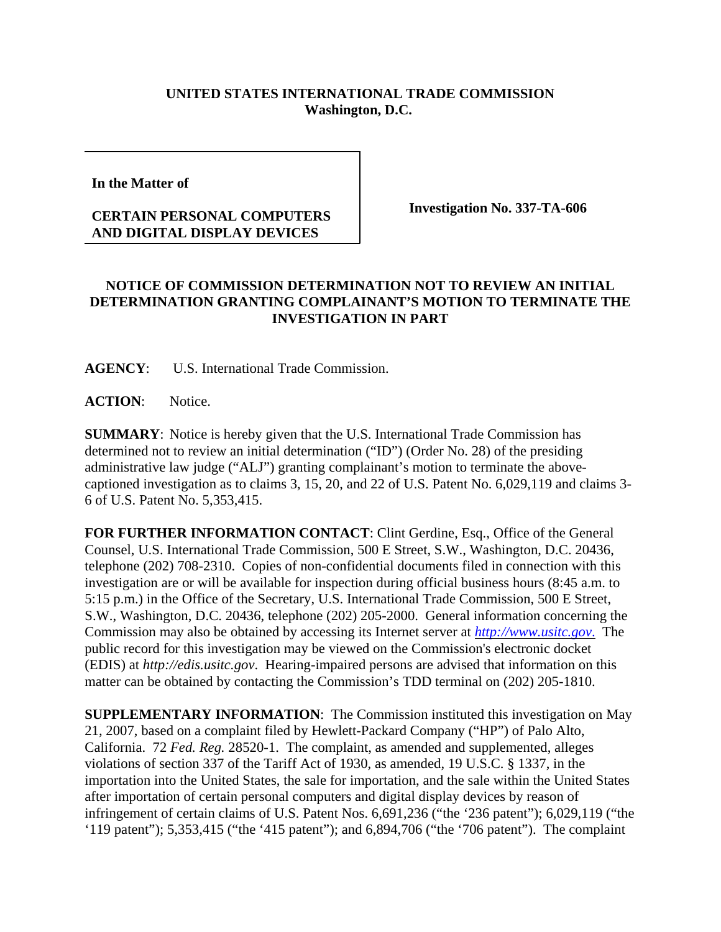## **UNITED STATES INTERNATIONAL TRADE COMMISSION Washington, D.C.**

**In the Matter of** 

## **CERTAIN PERSONAL COMPUTERS AND DIGITAL DISPLAY DEVICES**

**Investigation No. 337-TA-606**

## **NOTICE OF COMMISSION DETERMINATION NOT TO REVIEW AN INITIAL DETERMINATION GRANTING COMPLAINANT'S MOTION TO TERMINATE THE INVESTIGATION IN PART**

**AGENCY**: U.S. International Trade Commission.

**ACTION**: Notice.

**SUMMARY**: Notice is hereby given that the U.S. International Trade Commission has determined not to review an initial determination ("ID") (Order No. 28) of the presiding administrative law judge ("ALJ") granting complainant's motion to terminate the abovecaptioned investigation as to claims 3, 15, 20, and 22 of U.S. Patent No. 6,029,119 and claims 3- 6 of U.S. Patent No. 5,353,415.

**FOR FURTHER INFORMATION CONTACT**: Clint Gerdine, Esq., Office of the General Counsel, U.S. International Trade Commission, 500 E Street, S.W., Washington, D.C. 20436, telephone (202) 708-2310. Copies of non-confidential documents filed in connection with this investigation are or will be available for inspection during official business hours (8:45 a.m. to 5:15 p.m.) in the Office of the Secretary, U.S. International Trade Commission, 500 E Street, S.W., Washington, D.C. 20436, telephone (202) 205-2000. General information concerning the Commission may also be obtained by accessing its Internet server at *http://www.usitc.gov*. The public record for this investigation may be viewed on the Commission's electronic docket (EDIS) at *http://edis.usitc.gov*. Hearing-impaired persons are advised that information on this matter can be obtained by contacting the Commission's TDD terminal on (202) 205-1810.

**SUPPLEMENTARY INFORMATION**: The Commission instituted this investigation on May 21, 2007, based on a complaint filed by Hewlett-Packard Company ("HP") of Palo Alto, California. 72 *Fed. Reg.* 28520-1. The complaint, as amended and supplemented, alleges violations of section 337 of the Tariff Act of 1930, as amended, 19 U.S.C. § 1337, in the importation into the United States, the sale for importation, and the sale within the United States after importation of certain personal computers and digital display devices by reason of infringement of certain claims of U.S. Patent Nos. 6,691,236 ("the '236 patent"); 6,029,119 ("the '119 patent"); 5,353,415 ("the '415 patent"); and 6,894,706 ("the '706 patent"). The complaint